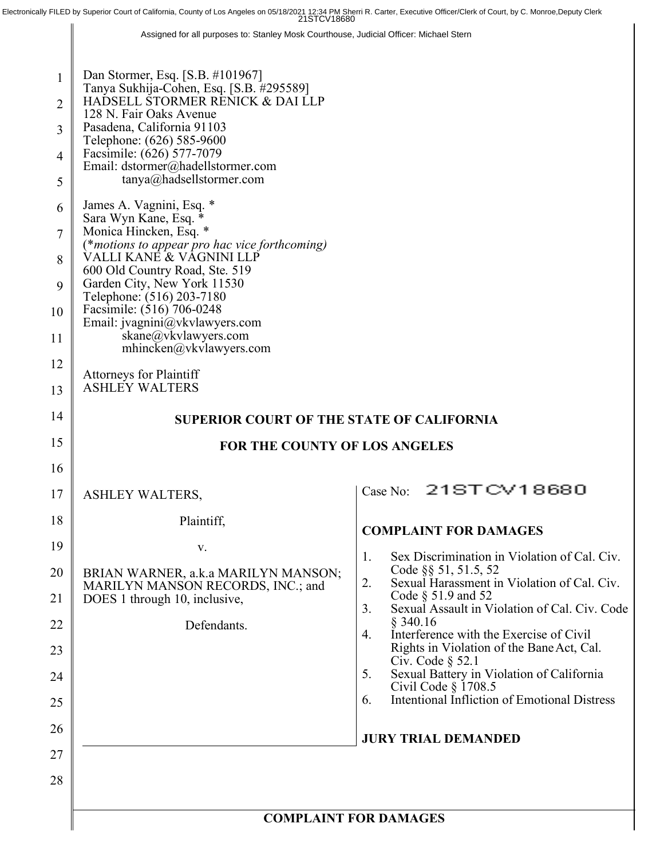Electronically FILED by Superior Court of California, County of Los Angeles on 05/18/2021 12:34 PM Sherri R. Carter, Executive Officer/Clerk of Court, by C. Monroe,Deputy Clerk

Assigned for all purposes to: Stanley Mosk Courthouse, Judicial Officer: Michael Stern

| 1<br>$\overline{2}$<br>3<br>$\overline{4}$<br>5 | Dan Stormer, Esq. [S.B. #101967]<br>Tanya Sukhija-Cohen, Esq. [S.B. #295589]<br>HADSELL STORMER RENICK & DAI LLP<br>128 N. Fair Oaks Avenue<br>Pasadena, California 91103<br>Telephone: (626) 585-9600<br>Facsimile: (626) 577-7079<br>Email: dstormer@hadellstormer.com<br>tanya@hadsellstormer.com |                                                                              |  |  |
|-------------------------------------------------|------------------------------------------------------------------------------------------------------------------------------------------------------------------------------------------------------------------------------------------------------------------------------------------------------|------------------------------------------------------------------------------|--|--|
| 6                                               | James A. Vagnini, Esq. *                                                                                                                                                                                                                                                                             |                                                                              |  |  |
| 7                                               | Sara Wyn Kane, Esq.<br>Monica Hincken, Esq. *                                                                                                                                                                                                                                                        |                                                                              |  |  |
| 8                                               | (*motions to appear pro hac vice forthcoming)<br>VALLI KANĖ & VAGNINI LLP<br>600 Old Country Road, Ste. 519                                                                                                                                                                                          |                                                                              |  |  |
| 9<br>10                                         | Garden City, New York 11530<br>Telephone: (516) 203-7180<br>Facsimile: (516) 706-0248                                                                                                                                                                                                                |                                                                              |  |  |
| 11                                              | Email: jvagnini@vkvlawyers.com<br>skane@vkvlawyers.com<br>$m$ hincken@vkvlawyers.com                                                                                                                                                                                                                 |                                                                              |  |  |
| 12                                              |                                                                                                                                                                                                                                                                                                      |                                                                              |  |  |
| 13                                              | Attorneys for Plaintiff<br><b>ASHLEY WALTERS</b>                                                                                                                                                                                                                                                     |                                                                              |  |  |
| 14                                              | <b>SUPERIOR COURT OF THE STATE OF CALIFORNIA</b>                                                                                                                                                                                                                                                     |                                                                              |  |  |
| 15                                              | <b>FOR THE COUNTY OF LOS ANGELES</b>                                                                                                                                                                                                                                                                 |                                                                              |  |  |
| 16                                              |                                                                                                                                                                                                                                                                                                      |                                                                              |  |  |
| 17                                              | <b>ASHLEY WALTERS,</b>                                                                                                                                                                                                                                                                               | Case No: 21STCV18680                                                         |  |  |
| 18                                              | Plaintiff,                                                                                                                                                                                                                                                                                           | <b>COMPLAINT FOR DAMAGES</b>                                                 |  |  |
| 19                                              | V.                                                                                                                                                                                                                                                                                                   | Sex Discrimination in Violation of Cal. Civ.<br>1.                           |  |  |
| 20                                              | BRIAN WARNER, a.k.a MARILYN MANSON;<br>MARILYN MANSON RECORDS, INC.; and                                                                                                                                                                                                                             | Code §§ 51, 51.5, 52<br>2.<br>Sexual Harassment in Violation of Cal. Civ.    |  |  |
| 21                                              | DOES 1 through 10, inclusive,                                                                                                                                                                                                                                                                        | Code $\S$ 51.9 and 52<br>Sexual Assault in Violation of Cal. Civ. Code<br>3. |  |  |
| 22                                              | Defendants.                                                                                                                                                                                                                                                                                          | $§$ 340.16<br>Interference with the Exercise of Civil<br>4.                  |  |  |
| 23                                              |                                                                                                                                                                                                                                                                                                      | Rights in Violation of the Bane Act, Cal.<br>Civ. Code $\S$ 52.1             |  |  |
| 24                                              |                                                                                                                                                                                                                                                                                                      | 5.<br>Sexual Battery in Violation of California<br>Civil Code $\S$ 1708.5    |  |  |
| 25                                              |                                                                                                                                                                                                                                                                                                      | <b>Intentional Infliction of Emotional Distress</b><br>6.                    |  |  |
| 26                                              |                                                                                                                                                                                                                                                                                                      | <b>JURY TRIAL DEMANDED</b>                                                   |  |  |
| 27                                              |                                                                                                                                                                                                                                                                                                      |                                                                              |  |  |
| 28                                              |                                                                                                                                                                                                                                                                                                      |                                                                              |  |  |
|                                                 |                                                                                                                                                                                                                                                                                                      | <b>COMPLAINT FOR DAMAGES</b>                                                 |  |  |
|                                                 |                                                                                                                                                                                                                                                                                                      |                                                                              |  |  |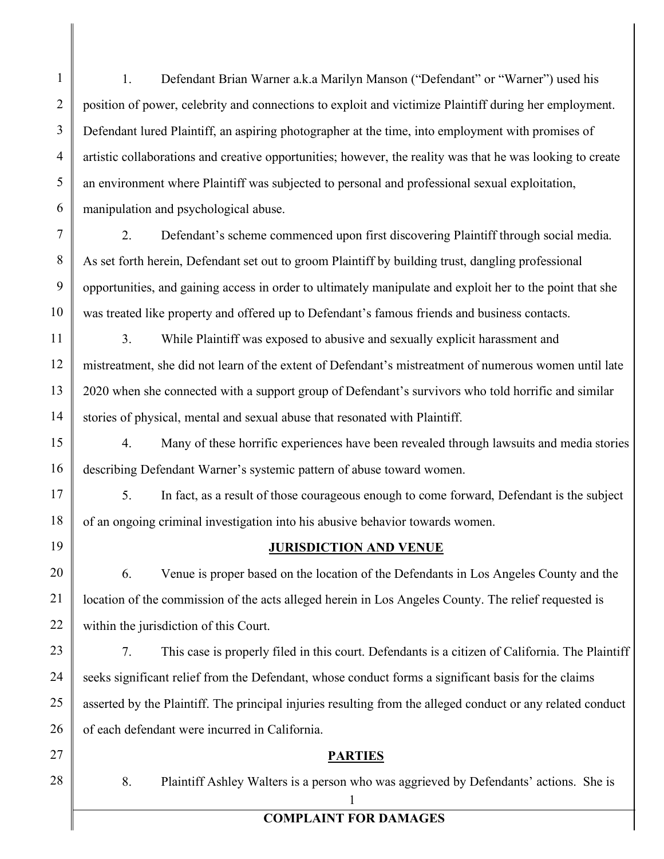1. Defendant Brian Warner a.k.a Marilyn Manson ("Defendant" or "Warner") used his position of power, celebrity and connections to exploit and victimize Plaintiff during her employment. Defendant lured Plaintiff, an aspiring photographer at the time, into employment with promises of artistic collaborations and creative opportunities; however, the reality was that he was looking to create an environment where Plaintiff was subjected to personal and professional sexual exploitation, manipulation and psychological abuse.

7

1

2

3

4

5

6

8

9

10

11

12

13

14

15

16

2. Defendant's scheme commenced upon first discovering Plaintiff through social media. As set forth herein, Defendant set out to groom Plaintiff by building trust, dangling professional opportunities, and gaining access in order to ultimately manipulate and exploit her to the point that she was treated like property and offered up to Defendant's famous friends and business contacts.

3. While Plaintiff was exposed to abusive and sexually explicit harassment and mistreatment, she did not learn of the extent of Defendant's mistreatment of numerous women until late 2020 when she connected with a support group of Defendant's survivors who told horrific and similar stories of physical, mental and sexual abuse that resonated with Plaintiff.

4. Many of these horrific experiences have been revealed through lawsuits and media stories describing Defendant Warner's systemic pattern of abuse toward women.

5. In fact, as a result of those courageous enough to come forward, Defendant is the subject of an ongoing criminal investigation into his abusive behavior towards women.

## **JURISDICTION AND VENUE**

6. Venue is proper based on the location of the Defendants in Los Angeles County and the location of the commission of the acts alleged herein in Los Angeles County. The relief requested is within the jurisdiction of this Court.

7. This case is properly filed in this court. Defendants is a citizen of California. The Plaintiff seeks significant relief from the Defendant, whose conduct forms a significant basis for the claims asserted by the Plaintiff. The principal injuries resulting from the alleged conduct or any related conduct of each defendant were incurred in California.

## **PARTIES**

8. Plaintiff Ashley Walters is a person who was aggrieved by Defendants' actions. She is

## 1 **COMPLAINT FOR DAMAGES**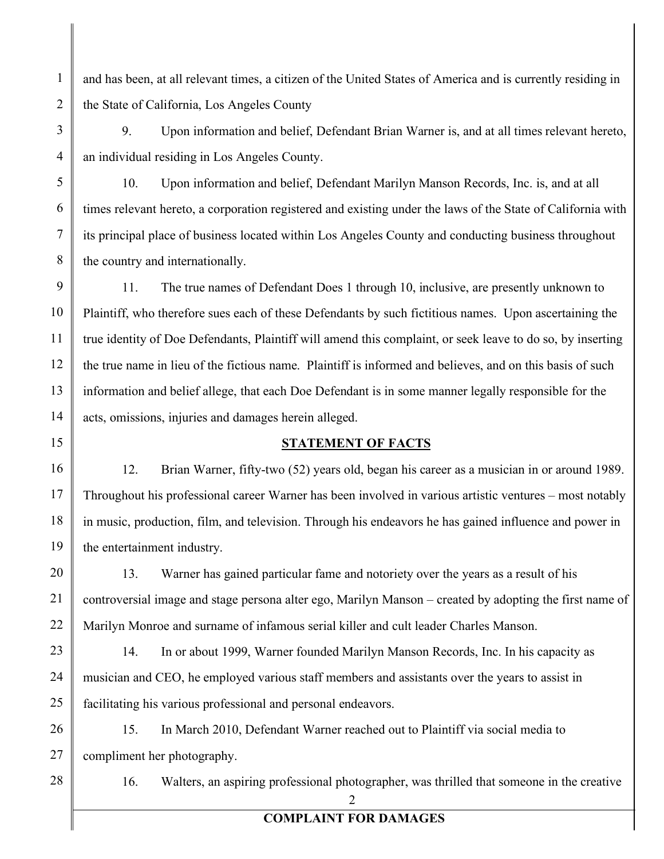and has been, at all relevant times, a citizen of the United States of America and is currently residing in the State of California, Los Angeles County

9. Upon information and belief, Defendant Brian Warner is, and at all times relevant hereto, an individual residing in Los Angeles County.

10. Upon information and belief, Defendant Marilyn Manson Records, Inc. is, and at all times relevant hereto, a corporation registered and existing under the laws of the State of California with its principal place of business located within Los Angeles County and conducting business throughout the country and internationally.

11. The true names of Defendant Does 1 through 10, inclusive, are presently unknown to Plaintiff, who therefore sues each of these Defendants by such fictitious names. Upon ascertaining the true identity of Doe Defendants, Plaintiff will amend this complaint, or seek leave to do so, by inserting the true name in lieu of the fictious name. Plaintiff is informed and believes, and on this basis of such information and belief allege, that each Doe Defendant is in some manner legally responsible for the acts, omissions, injuries and damages herein alleged.

## **STATEMENT OF FACTS**

12. Brian Warner, fifty-two (52) years old, began his career as a musician in or around 1989. Throughout his professional career Warner has been involved in various artistic ventures – most notably in music, production, film, and television. Through his endeavors he has gained influence and power in the entertainment industry.

13. Warner has gained particular fame and notoriety over the years as a result of his controversial image and stage persona alter ego, Marilyn Manson – created by adopting the first name of Marilyn Monroe and surname of infamous serial killer and cult leader Charles Manson.

14. In or about 1999, Warner founded Marilyn Manson Records, Inc. In his capacity as musician and CEO, he employed various staff members and assistants over the years to assist in facilitating his various professional and personal endeavors.

26 27 15. In March 2010, Defendant Warner reached out to Plaintiff via social media to compliment her photography.

28

1

2

3

4

5

6

7

8

9

10

11

12

13

14

15

16

17

18

19

20

21

22

23

24

25

2 **COMPLAINT FOR DAMAGES**

16. Walters, an aspiring professional photographer, was thrilled that someone in the creative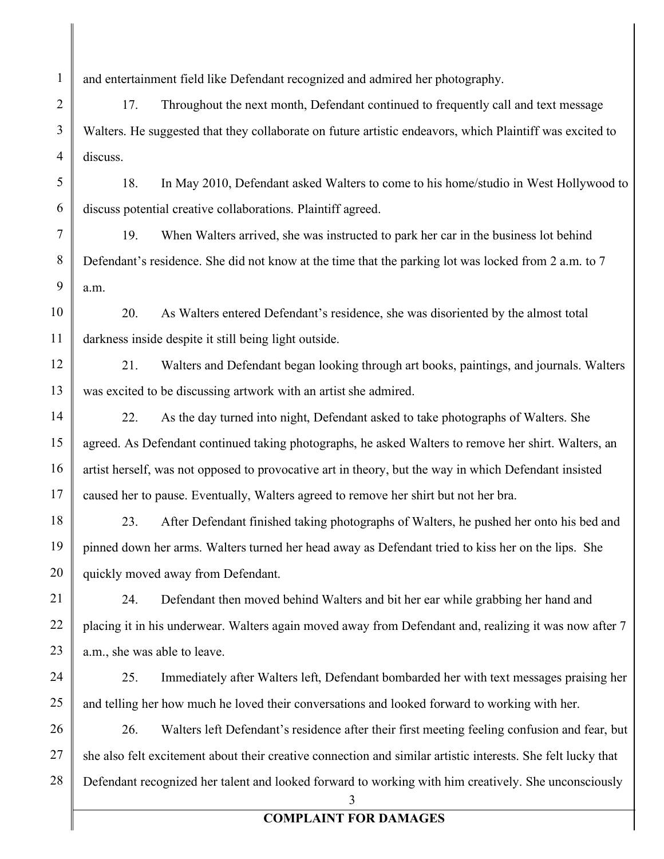and entertainment field like Defendant recognized and admired her photography.

17. Throughout the next month, Defendant continued to frequently call and text message Walters. He suggested that they collaborate on future artistic endeavors, which Plaintiff was excited to discuss.

18. In May 2010, Defendant asked Walters to come to his home/studio in West Hollywood to discuss potential creative collaborations. Plaintiff agreed.

19. When Walters arrived, she was instructed to park her car in the business lot behind Defendant's residence. She did not know at the time that the parking lot was locked from 2 a.m. to 7 a.m.

20. As Walters entered Defendant's residence, she was disoriented by the almost total darkness inside despite it still being light outside.

21. Walters and Defendant began looking through art books, paintings, and journals. Walters was excited to be discussing artwork with an artist she admired.

22. As the day turned into night, Defendant asked to take photographs of Walters. She agreed. As Defendant continued taking photographs, he asked Walters to remove her shirt. Walters, an artist herself, was not opposed to provocative art in theory, but the way in which Defendant insisted caused her to pause. Eventually, Walters agreed to remove her shirt but not her bra.

23. After Defendant finished taking photographs of Walters, he pushed her onto his bed and pinned down her arms. Walters turned her head away as Defendant tried to kiss her on the lips. She quickly moved away from Defendant.

24. Defendant then moved behind Walters and bit her ear while grabbing her hand and placing it in his underwear. Walters again moved away from Defendant and, realizing it was now after 7 a.m., she was able to leave.

25. Immediately after Walters left, Defendant bombarded her with text messages praising her and telling her how much he loved their conversations and looked forward to working with her.

26. Walters left Defendant's residence after their first meeting feeling confusion and fear, but she also felt excitement about their creative connection and similar artistic interests. She felt lucky that Defendant recognized her talent and looked forward to working with him creatively. She unconsciously

3

# **COMPLAINT FOR DAMAGES**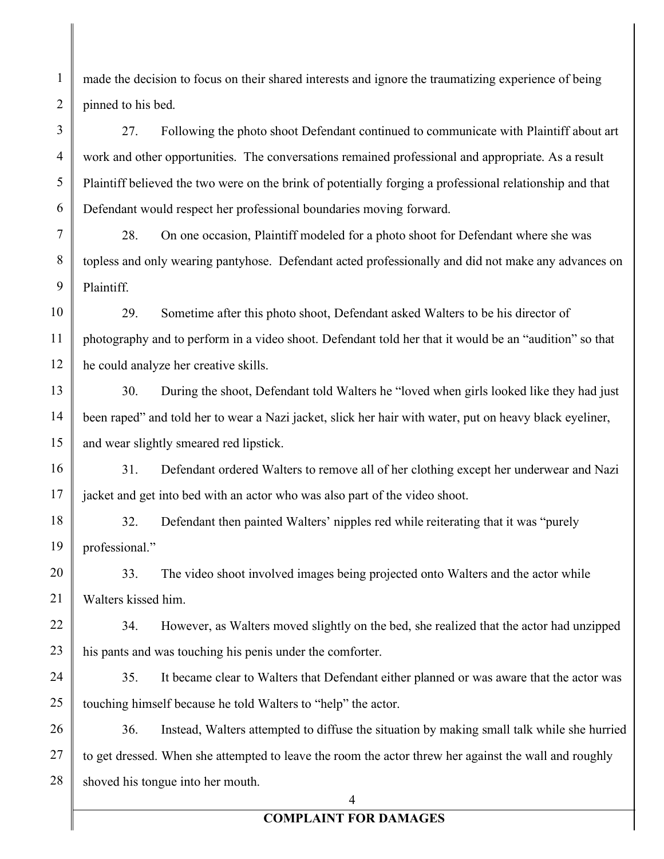made the decision to focus on their shared interests and ignore the traumatizing experience of being pinned to his bed.

1

2

3

4

5

6

7

8

9

10

11

12

13

14

15

16

17

27. Following the photo shoot Defendant continued to communicate with Plaintiff about art work and other opportunities. The conversations remained professional and appropriate. As a result Plaintiff believed the two were on the brink of potentially forging a professional relationship and that Defendant would respect her professional boundaries moving forward.

28. On one occasion, Plaintiff modeled for a photo shoot for Defendant where she was topless and only wearing pantyhose. Defendant acted professionally and did not make any advances on Plaintiff.

29. Sometime after this photo shoot, Defendant asked Walters to be his director of photography and to perform in a video shoot. Defendant told her that it would be an "audition" so that he could analyze her creative skills.

30. During the shoot, Defendant told Walters he "loved when girls looked like they had just been raped" and told her to wear a Nazi jacket, slick her hair with water, put on heavy black eyeliner, and wear slightly smeared red lipstick.

31. Defendant ordered Walters to remove all of her clothing except her underwear and Nazi jacket and get into bed with an actor who was also part of the video shoot.

18 19 32. Defendant then painted Walters' nipples red while reiterating that it was "purely professional."

20 21 33. The video shoot involved images being projected onto Walters and the actor while Walters kissed him.

22 23 34. However, as Walters moved slightly on the bed, she realized that the actor had unzipped his pants and was touching his penis under the comforter.

24 25 35. It became clear to Walters that Defendant either planned or was aware that the actor was touching himself because he told Walters to "help" the actor.

26 27 28 36. Instead, Walters attempted to diffuse the situation by making small talk while she hurried to get dressed. When she attempted to leave the room the actor threw her against the wall and roughly shoved his tongue into her mouth.

4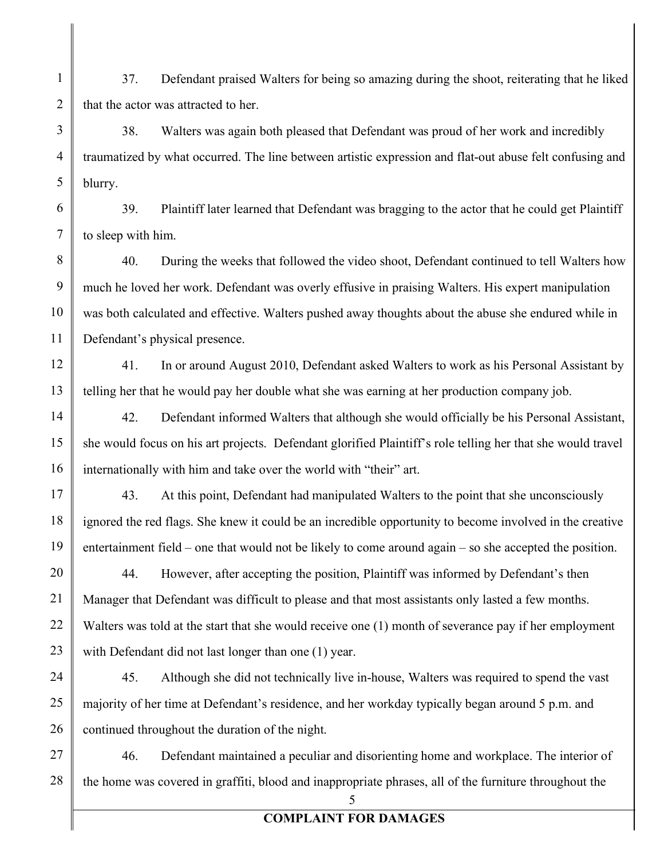37. Defendant praised Walters for being so amazing during the shoot, reiterating that he liked that the actor was attracted to her.

1

2

3

4

5

6

7

8

9

10

11

12

13

14

15

16

17

18

19

20

21

22

23

38. Walters was again both pleased that Defendant was proud of her work and incredibly traumatized by what occurred. The line between artistic expression and flat-out abuse felt confusing and blurry.

39. Plaintiff later learned that Defendant was bragging to the actor that he could get Plaintiff to sleep with him.

40. During the weeks that followed the video shoot, Defendant continued to tell Walters how much he loved her work. Defendant was overly effusive in praising Walters. His expert manipulation was both calculated and effective. Walters pushed away thoughts about the abuse she endured while in Defendant's physical presence.

41. In or around August 2010, Defendant asked Walters to work as his Personal Assistant by telling her that he would pay her double what she was earning at her production company job.

42. Defendant informed Walters that although she would officially be his Personal Assistant, she would focus on his art projects. Defendant glorified Plaintiff's role telling her that she would travel internationally with him and take over the world with "their" art.

43. At this point, Defendant had manipulated Walters to the point that she unconsciously ignored the red flags. She knew it could be an incredible opportunity to become involved in the creative entertainment field – one that would not be likely to come around again – so she accepted the position.

44. However, after accepting the position, Plaintiff was informed by Defendant's then Manager that Defendant was difficult to please and that most assistants only lasted a few months. Walters was told at the start that she would receive one (1) month of severance pay if her employment with Defendant did not last longer than one (1) year.

24 25 26 45. Although she did not technically live in-house, Walters was required to spend the vast majority of her time at Defendant's residence, and her workday typically began around 5 p.m. and continued throughout the duration of the night.

27 28 46. Defendant maintained a peculiar and disorienting home and workplace. The interior of the home was covered in graffiti, blood and inappropriate phrases, all of the furniture throughout the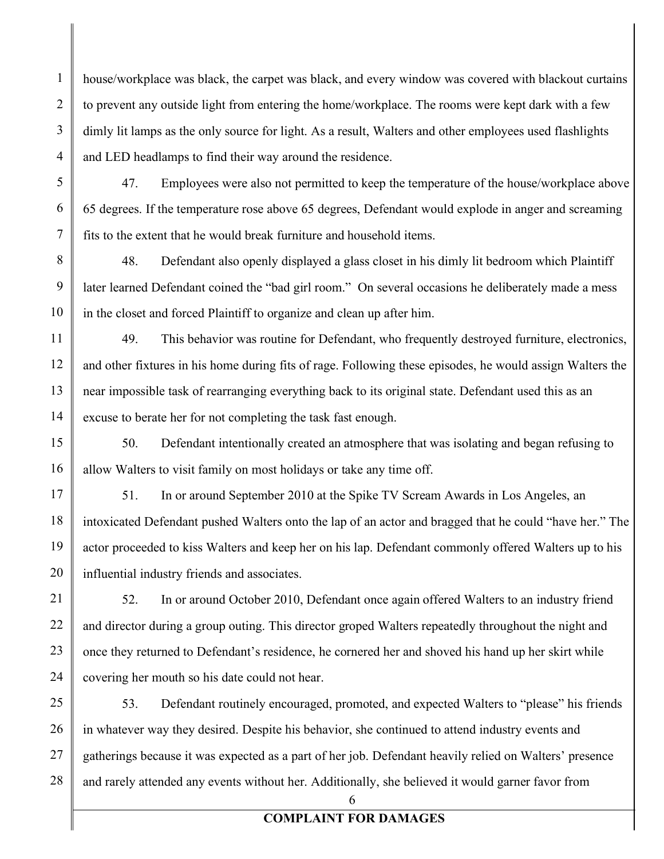house/workplace was black, the carpet was black, and every window was covered with blackout curtains to prevent any outside light from entering the home/workplace. The rooms were kept dark with a few dimly lit lamps as the only source for light. As a result, Walters and other employees used flashlights and LED headlamps to find their way around the residence.

47. Employees were also not permitted to keep the temperature of the house/workplace above 65 degrees. If the temperature rose above 65 degrees, Defendant would explode in anger and screaming fits to the extent that he would break furniture and household items.

48. Defendant also openly displayed a glass closet in his dimly lit bedroom which Plaintiff later learned Defendant coined the "bad girl room." On several occasions he deliberately made a mess in the closet and forced Plaintiff to organize and clean up after him.

49. This behavior was routine for Defendant, who frequently destroyed furniture, electronics, and other fixtures in his home during fits of rage. Following these episodes, he would assign Walters the near impossible task of rearranging everything back to its original state. Defendant used this as an excuse to berate her for not completing the task fast enough.

50. Defendant intentionally created an atmosphere that was isolating and began refusing to allow Walters to visit family on most holidays or take any time off.

51. In or around September 2010 at the Spike TV Scream Awards in Los Angeles, an intoxicated Defendant pushed Walters onto the lap of an actor and bragged that he could "have her." The actor proceeded to kiss Walters and keep her on his lap. Defendant commonly offered Walters up to his influential industry friends and associates.

52. In or around October 2010, Defendant once again offered Walters to an industry friend and director during a group outing. This director groped Walters repeatedly throughout the night and once they returned to Defendant's residence, he cornered her and shoved his hand up her skirt while covering her mouth so his date could not hear.

53. Defendant routinely encouraged, promoted, and expected Walters to "please" his friends in whatever way they desired. Despite his behavior, she continued to attend industry events and gatherings because it was expected as a part of her job. Defendant heavily relied on Walters' presence and rarely attended any events without her. Additionally, she believed it would garner favor from

6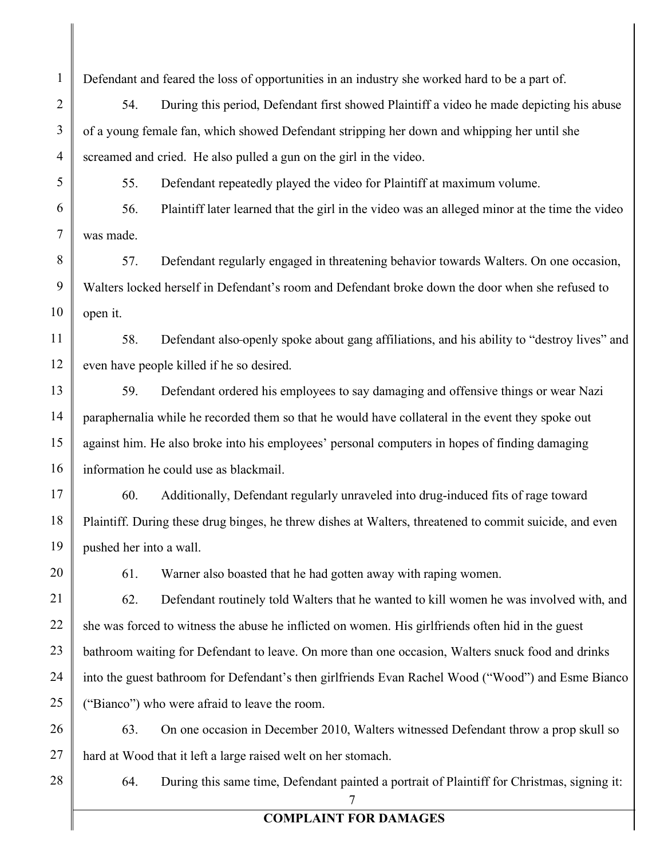Defendant and feared the loss of opportunities in an industry she worked hard to be a part of.

54. During this period, Defendant first showed Plaintiff a video he made depicting his abuse of a young female fan, which showed Defendant stripping her down and whipping her until she screamed and cried. He also pulled a gun on the girl in the video.

55. Defendant repeatedly played the video for Plaintiff at maximum volume.

56. Plaintiff later learned that the girl in the video was an alleged minor at the time the video was made.

57. Defendant regularly engaged in threatening behavior towards Walters. On one occasion, Walters locked herself in Defendant's room and Defendant broke down the door when she refused to open it.

11 12 58. Defendant also openly spoke about gang affiliations, and his ability to "destroy lives" and even have people killed if he so desired.

59. Defendant ordered his employees to say damaging and offensive things or wear Nazi paraphernalia while he recorded them so that he would have collateral in the event they spoke out against him. He also broke into his employees' personal computers in hopes of finding damaging information he could use as blackmail.

60. Additionally, Defendant regularly unraveled into drug-induced fits of rage toward Plaintiff. During these drug binges, he threw dishes at Walters, threatened to commit suicide, and even pushed her into a wall.

20

21

22

23

24

25

1

2

3

4

5

6

7

8

9

10

13

14

15

16

17

18

19

61. Warner also boasted that he had gotten away with raping women.

62. Defendant routinely told Walters that he wanted to kill women he was involved with, and she was forced to witness the abuse he inflicted on women. His girlfriends often hid in the guest bathroom waiting for Defendant to leave. On more than one occasion, Walters snuck food and drinks into the guest bathroom for Defendant's then girlfriends Evan Rachel Wood ("Wood") and Esme Bianco ("Bianco") who were afraid to leave the room.

26 27 63. On one occasion in December 2010, Walters witnessed Defendant throw a prop skull so hard at Wood that it left a large raised welt on her stomach.

28

64. During this same time, Defendant painted a portrait of Plaintiff for Christmas, signing it:

7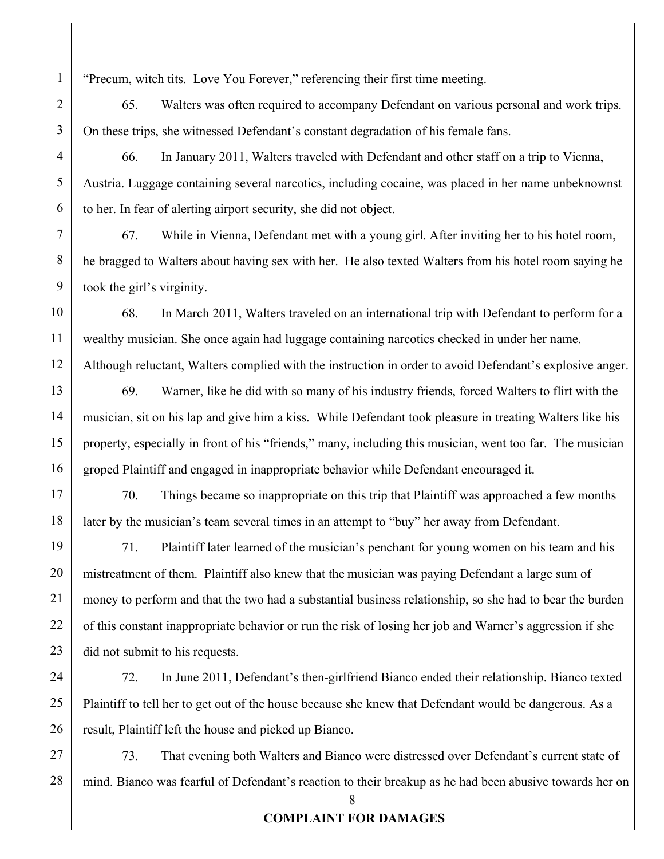"Precum, witch tits. Love You Forever," referencing their first time meeting.

65. Walters was often required to accompany Defendant on various personal and work trips. On these trips, she witnessed Defendant's constant degradation of his female fans.

66. In January 2011, Walters traveled with Defendant and other staff on a trip to Vienna, Austria. Luggage containing several narcotics, including cocaine, was placed in her name unbeknownst to her. In fear of alerting airport security, she did not object.

67. While in Vienna, Defendant met with a young girl. After inviting her to his hotel room, he bragged to Walters about having sex with her. He also texted Walters from his hotel room saying he took the girl's virginity.

68. In March 2011, Walters traveled on an international trip with Defendant to perform for a wealthy musician. She once again had luggage containing narcotics checked in under her name. Although reluctant, Walters complied with the instruction in order to avoid Defendant's explosive anger.

69. Warner, like he did with so many of his industry friends, forced Walters to flirt with the musician, sit on his lap and give him a kiss. While Defendant took pleasure in treating Walters like his property, especially in front of his "friends," many, including this musician, went too far. The musician groped Plaintiff and engaged in inappropriate behavior while Defendant encouraged it.

70. Things became so inappropriate on this trip that Plaintiff was approached a few months later by the musician's team several times in an attempt to "buy" her away from Defendant.

71. Plaintiff later learned of the musician's penchant for young women on his team and his mistreatment of them. Plaintiff also knew that the musician was paying Defendant a large sum of money to perform and that the two had a substantial business relationship, so she had to bear the burden of this constant inappropriate behavior or run the risk of losing her job and Warner's aggression if she did not submit to his requests.

72. In June 2011, Defendant's then-girlfriend Bianco ended their relationship. Bianco texted Plaintiff to tell her to get out of the house because she knew that Defendant would be dangerous. As a result, Plaintiff left the house and picked up Bianco.

73. That evening both Walters and Bianco were distressed over Defendant's current state of mind. Bianco was fearful of Defendant's reaction to their breakup as he had been abusive towards her on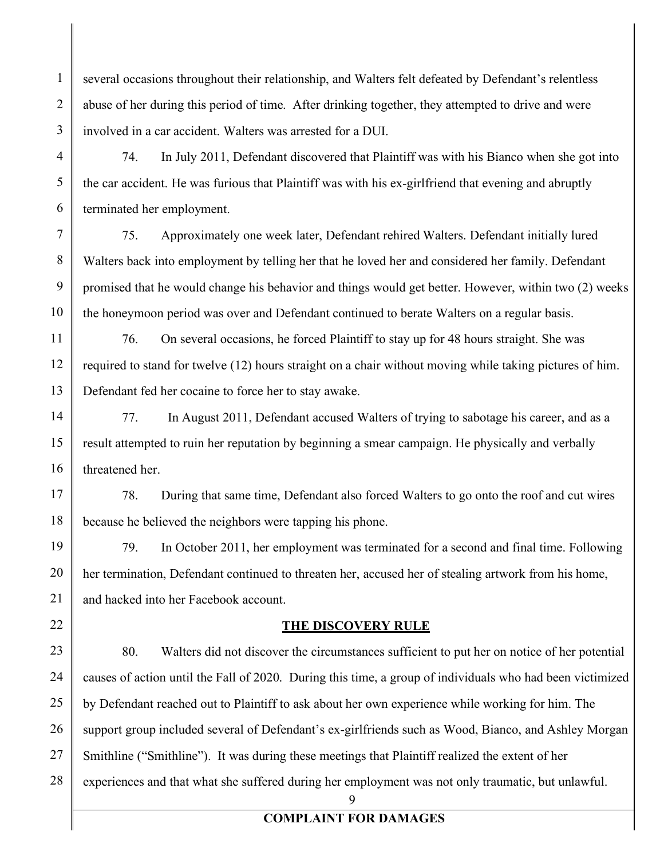several occasions throughout their relationship, and Walters felt defeated by Defendant's relentless abuse of her during this period of time. After drinking together, they attempted to drive and were involved in a car accident. Walters was arrested for a DUI.

74. In July 2011, Defendant discovered that Plaintiff was with his Bianco when she got into the car accident. He was furious that Plaintiff was with his ex-girlfriend that evening and abruptly terminated her employment.

75. Approximately one week later, Defendant rehired Walters. Defendant initially lured Walters back into employment by telling her that he loved her and considered her family. Defendant promised that he would change his behavior and things would get better. However, within two (2) weeks the honeymoon period was over and Defendant continued to berate Walters on a regular basis.

76. On several occasions, he forced Plaintiff to stay up for 48 hours straight. She was required to stand for twelve (12) hours straight on a chair without moving while taking pictures of him. Defendant fed her cocaine to force her to stay awake.

77. In August 2011, Defendant accused Walters of trying to sabotage his career, and as a result attempted to ruin her reputation by beginning a smear campaign. He physically and verbally threatened her.

78. During that same time, Defendant also forced Walters to go onto the roof and cut wires because he believed the neighbors were tapping his phone.

79. In October 2011, her employment was terminated for a second and final time. Following her termination, Defendant continued to threaten her, accused her of stealing artwork from his home, and hacked into her Facebook account.

#### **THE DISCOVERY RULE**

80. Walters did not discover the circumstances sufficient to put her on notice of her potential causes of action until the Fall of 2020. During this time, a group of individuals who had been victimized by Defendant reached out to Plaintiff to ask about her own experience while working for him. The support group included several of Defendant's ex-girlfriends such as Wood, Bianco, and Ashley Morgan Smithline ("Smithline"). It was during these meetings that Plaintiff realized the extent of her experiences and that what she suffered during her employment was not only traumatic, but unlawful.

9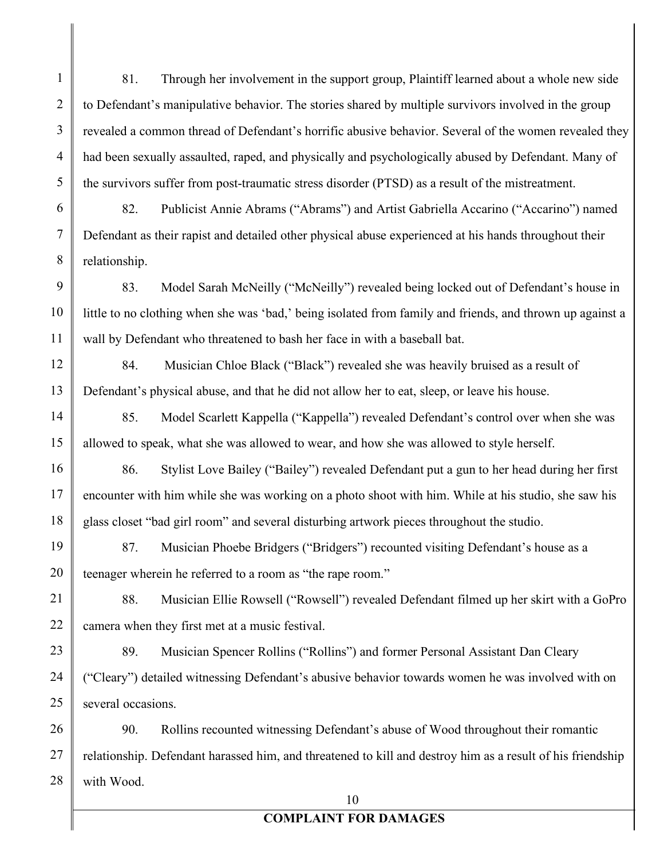81. Through her involvement in the support group, Plaintiff learned about a whole new side to Defendant's manipulative behavior. The stories shared by multiple survivors involved in the group revealed a common thread of Defendant's horrific abusive behavior. Several of the women revealed they had been sexually assaulted, raped, and physically and psychologically abused by Defendant. Many of the survivors suffer from post-traumatic stress disorder (PTSD) as a result of the mistreatment.

1

2

3

4

5

6

7

8

9

10

11

12

13

14

15

16

17

18

19

20

21

22

23

24

25

82. Publicist Annie Abrams ("Abrams") and Artist Gabriella Accarino ("Accarino") named Defendant as their rapist and detailed other physical abuse experienced at his hands throughout their relationship.

83. Model Sarah McNeilly ("McNeilly") revealed being locked out of Defendant's house in little to no clothing when she was 'bad,' being isolated from family and friends, and thrown up against a wall by Defendant who threatened to bash her face in with a baseball bat.

84. Musician Chloe Black ("Black") revealed she was heavily bruised as a result of Defendant's physical abuse, and that he did not allow her to eat, sleep, or leave his house.

85. Model Scarlett Kappella ("Kappella") revealed Defendant's control over when she was allowed to speak, what she was allowed to wear, and how she was allowed to style herself.

86. Stylist Love Bailey ("Bailey") revealed Defendant put a gun to her head during her first encounter with him while she was working on a photo shoot with him. While at his studio, she saw his glass closet "bad girl room" and several disturbing artwork pieces throughout the studio.

87. Musician Phoebe Bridgers ("Bridgers") recounted visiting Defendant's house as a teenager wherein he referred to a room as "the rape room."

88. Musician Ellie Rowsell ("Rowsell") revealed Defendant filmed up her skirt with a GoPro camera when they first met at a music festival.

89. Musician Spencer Rollins ("Rollins") and former Personal Assistant Dan Cleary ("Cleary") detailed witnessing Defendant's abusive behavior towards women he was involved with on several occasions.

26 27 28 90. Rollins recounted witnessing Defendant's abuse of Wood throughout their romantic relationship. Defendant harassed him, and threatened to kill and destroy him as a result of his friendship with Wood.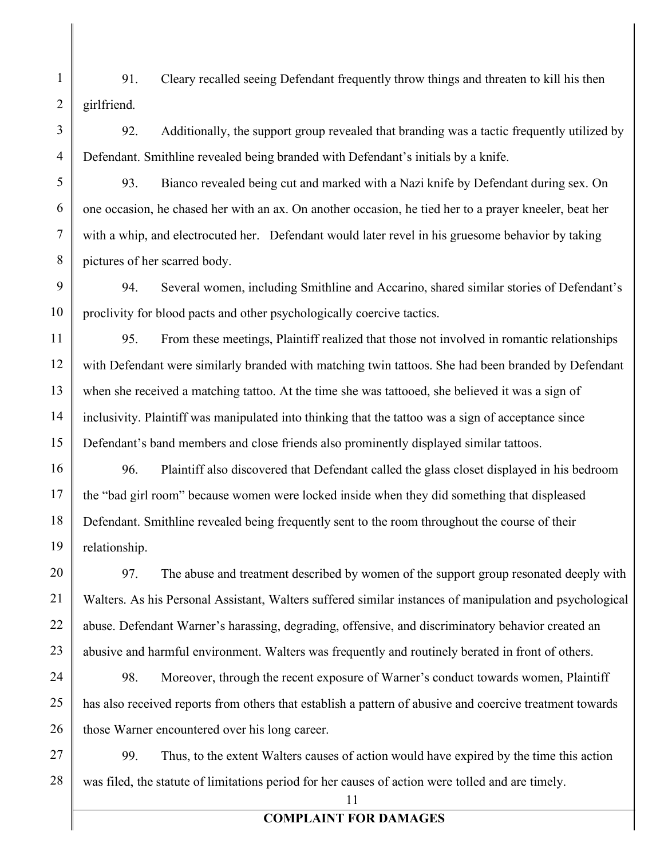91. Cleary recalled seeing Defendant frequently throw things and threaten to kill his then girlfriend.

92. Additionally, the support group revealed that branding was a tactic frequently utilized by Defendant. Smithline revealed being branded with Defendant's initials by a knife.

93. Bianco revealed being cut and marked with a Nazi knife by Defendant during sex. On one occasion, he chased her with an ax. On another occasion, he tied her to a prayer kneeler, beat her with a whip, and electrocuted her. Defendant would later revel in his gruesome behavior by taking pictures of her scarred body.

94. Several women, including Smithline and Accarino, shared similar stories of Defendant's proclivity for blood pacts and other psychologically coercive tactics.

95. From these meetings, Plaintiff realized that those not involved in romantic relationships with Defendant were similarly branded with matching twin tattoos. She had been branded by Defendant when she received a matching tattoo. At the time she was tattooed, she believed it was a sign of inclusivity. Plaintiff was manipulated into thinking that the tattoo was a sign of acceptance since Defendant's band members and close friends also prominently displayed similar tattoos.

96. Plaintiff also discovered that Defendant called the glass closet displayed in his bedroom the "bad girl room" because women were locked inside when they did something that displeased Defendant. Smithline revealed being frequently sent to the room throughout the course of their relationship.

97. The abuse and treatment described by women of the support group resonated deeply with Walters. As his Personal Assistant, Walters suffered similar instances of manipulation and psychological abuse. Defendant Warner's harassing, degrading, offensive, and discriminatory behavior created an abusive and harmful environment. Walters was frequently and routinely berated in front of others.

98. Moreover, through the recent exposure of Warner's conduct towards women, Plaintiff has also received reports from others that establish a pattern of abusive and coercive treatment towards those Warner encountered over his long career.

99. Thus, to the extent Walters causes of action would have expired by the time this action was filed, the statute of limitations period for her causes of action were tolled and are timely.

11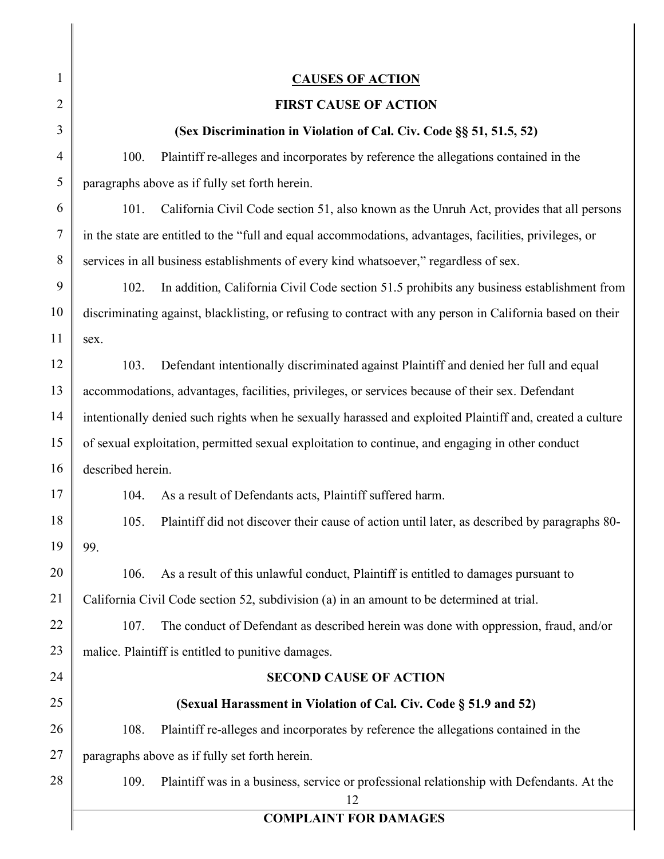| 1              | <b>CAUSES OF ACTION</b>                                                                                    |  |  |
|----------------|------------------------------------------------------------------------------------------------------------|--|--|
| 2              | <b>FIRST CAUSE OF ACTION</b>                                                                               |  |  |
| 3              | (Sex Discrimination in Violation of Cal. Civ. Code §§ 51, 51.5, 52)                                        |  |  |
| $\overline{4}$ | Plaintiff re-alleges and incorporates by reference the allegations contained in the<br>100.                |  |  |
| 5              | paragraphs above as if fully set forth herein.                                                             |  |  |
| 6              | 101.<br>California Civil Code section 51, also known as the Unruh Act, provides that all persons           |  |  |
| $\tau$         | in the state are entitled to the "full and equal accommodations, advantages, facilities, privileges, or    |  |  |
| 8              | services in all business establishments of every kind whatsoever," regardless of sex.                      |  |  |
| 9              | 102.<br>In addition, California Civil Code section 51.5 prohibits any business establishment from          |  |  |
| 10             | discriminating against, blacklisting, or refusing to contract with any person in California based on their |  |  |
| 11             | sex.                                                                                                       |  |  |
| 12             | Defendant intentionally discriminated against Plaintiff and denied her full and equal<br>103.              |  |  |
| 13             | accommodations, advantages, facilities, privileges, or services because of their sex. Defendant            |  |  |
| 14             | intentionally denied such rights when he sexually harassed and exploited Plaintiff and, created a culture  |  |  |
| 15             | of sexual exploitation, permitted sexual exploitation to continue, and engaging in other conduct           |  |  |
| 16             | described herein.                                                                                          |  |  |
| 17             | 104.<br>As a result of Defendants acts, Plaintiff suffered harm.                                           |  |  |
| 18             | Plaintiff did not discover their cause of action until later, as described by paragraphs 80-<br>105.       |  |  |
| 19             | 99.                                                                                                        |  |  |
| 20             | As a result of this unlawful conduct, Plaintiff is entitled to damages pursuant to<br>106.                 |  |  |
| 21             | California Civil Code section 52, subdivision (a) in an amount to be determined at trial.                  |  |  |
| 22             | 107.<br>The conduct of Defendant as described herein was done with oppression, fraud, and/or               |  |  |
| 23             | malice. Plaintiff is entitled to punitive damages.                                                         |  |  |
| 24             | <b>SECOND CAUSE OF ACTION</b>                                                                              |  |  |
| 25             | (Sexual Harassment in Violation of Cal. Civ. Code § 51.9 and 52)                                           |  |  |
| 26             | Plaintiff re-alleges and incorporates by reference the allegations contained in the<br>108.                |  |  |
| 27             | paragraphs above as if fully set forth herein.                                                             |  |  |
| 28             | 109.<br>Plaintiff was in a business, service or professional relationship with Defendants. At the<br>12    |  |  |
|                | <b>COMPLAINT FOR DAMAGES</b>                                                                               |  |  |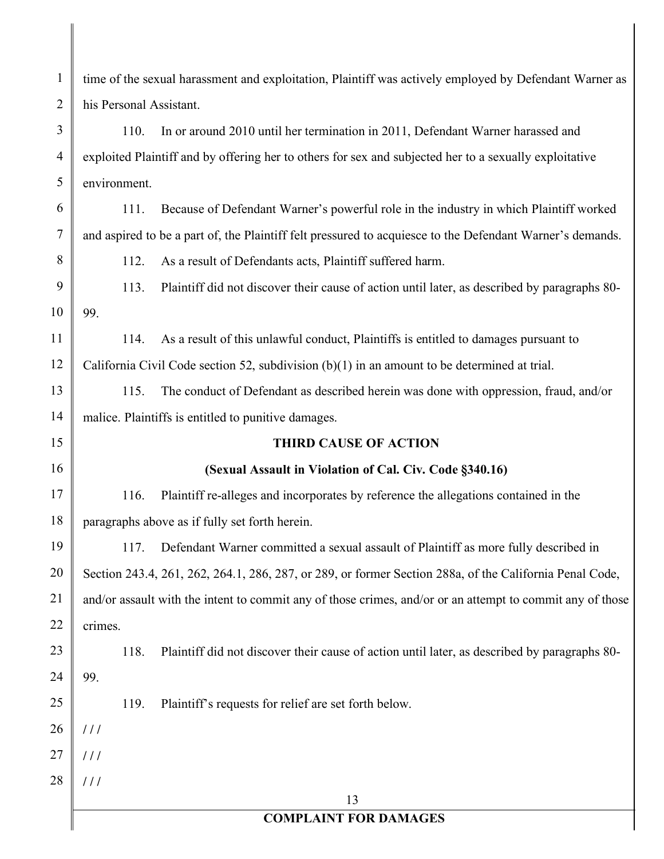1 2 3 4 5 6 7 8 9 10 11 12 13 14 15 16 17 18 19 20 21 22 23 24 25 26 27 28 13 **COMPLAINT FOR DAMAGES** time of the sexual harassment and exploitation, Plaintiff was actively employed by Defendant Warner as his Personal Assistant. 110. In or around 2010 until her termination in 2011, Defendant Warner harassed and exploited Plaintiff and by offering her to others for sex and subjected her to a sexually exploitative environment. 111. Because of Defendant Warner's powerful role in the industry in which Plaintiff worked and aspired to be a part of, the Plaintiff felt pressured to acquiesce to the Defendant Warner's demands. 112. As a result of Defendants acts, Plaintiff suffered harm. 113. Plaintiff did not discover their cause of action until later, as described by paragraphs 80- 99. 114. As a result of this unlawful conduct, Plaintiffs is entitled to damages pursuant to California Civil Code section 52, subdivision (b)(1) in an amount to be determined at trial. 115. The conduct of Defendant as described herein was done with oppression, fraud, and/or malice. Plaintiffs is entitled to punitive damages. **THIRD CAUSE OF ACTION (Sexual Assault in Violation of Cal. Civ. Code §340.16)** 116. Plaintiff re-alleges and incorporates by reference the allegations contained in the paragraphs above as if fully set forth herein. 117. Defendant Warner committed a sexual assault of Plaintiff as more fully described in Section 243.4, 261, 262, 264.1, 286, 287, or 289, or former Section 288a, of the California Penal Code, and/or assault with the intent to commit any of those crimes, and/or or an attempt to commit any of those crimes. 118. Plaintiff did not discover their cause of action until later, as described by paragraphs 80- 99. 119. Plaintiff's requests for relief are set forth below. **/ / / / / / / / /**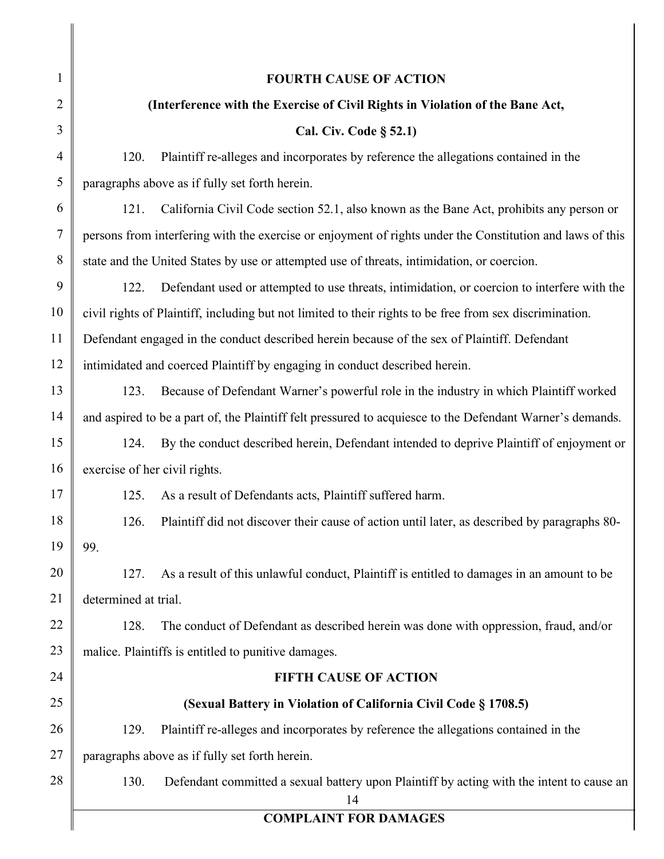| $\mathbf{1}$   | <b>FOURTH CAUSE OF ACTION</b>                                                                             |  |  |
|----------------|-----------------------------------------------------------------------------------------------------------|--|--|
| 2              | (Interference with the Exercise of Civil Rights in Violation of the Bane Act,                             |  |  |
| 3              | Cal. Civ. Code § 52.1)                                                                                    |  |  |
| $\overline{4}$ | Plaintiff re-alleges and incorporates by reference the allegations contained in the<br>120.               |  |  |
| 5              | paragraphs above as if fully set forth herein.                                                            |  |  |
| 6              | California Civil Code section 52.1, also known as the Bane Act, prohibits any person or<br>121.           |  |  |
| $\overline{7}$ | persons from interfering with the exercise or enjoyment of rights under the Constitution and laws of this |  |  |
| 8              | state and the United States by use or attempted use of threats, intimidation, or coercion.                |  |  |
| 9              | Defendant used or attempted to use threats, intimidation, or coercion to interfere with the<br>122.       |  |  |
| 10             | civil rights of Plaintiff, including but not limited to their rights to be free from sex discrimination.  |  |  |
| 11             | Defendant engaged in the conduct described herein because of the sex of Plaintiff. Defendant              |  |  |
| 12             | intimidated and coerced Plaintiff by engaging in conduct described herein.                                |  |  |
| 13             | Because of Defendant Warner's powerful role in the industry in which Plaintiff worked<br>123.             |  |  |
| 14             | and aspired to be a part of, the Plaintiff felt pressured to acquiesce to the Defendant Warner's demands. |  |  |
| 15             | By the conduct described herein, Defendant intended to deprive Plaintiff of enjoyment or<br>124.          |  |  |
| 16             | exercise of her civil rights.                                                                             |  |  |
| 17             | As a result of Defendants acts, Plaintiff suffered harm.<br>125.                                          |  |  |
| 18             | Plaintiff did not discover their cause of action until later, as described by paragraphs 80-<br>126.      |  |  |
| 19             | 99.                                                                                                       |  |  |
| 20             | As a result of this unlawful conduct, Plaintiff is entitled to damages in an amount to be<br>127.         |  |  |
| 21             | determined at trial.                                                                                      |  |  |
| 22             | 128.<br>The conduct of Defendant as described herein was done with oppression, fraud, and/or              |  |  |
| 23             | malice. Plaintiffs is entitled to punitive damages.                                                       |  |  |
| 24             | <b>FIFTH CAUSE OF ACTION</b>                                                                              |  |  |
| 25             | (Sexual Battery in Violation of California Civil Code § 1708.5)                                           |  |  |
| 26             | Plaintiff re-alleges and incorporates by reference the allegations contained in the<br>129.               |  |  |
| 27             | paragraphs above as if fully set forth herein.                                                            |  |  |
| 28             | 130.<br>Defendant committed a sexual battery upon Plaintiff by acting with the intent to cause an<br>14   |  |  |
|                | <b>COMPLAINT FOR DAMAGES</b>                                                                              |  |  |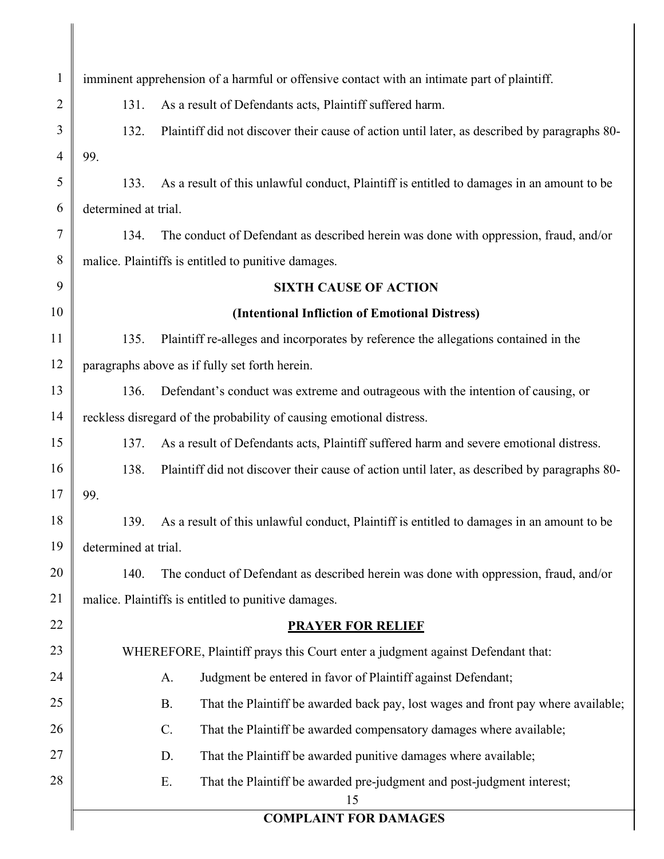| $\mathbf{1}$   | imminent apprehension of a harmful or offensive contact with an intimate part of plaintiff. |                                                                                                |  |
|----------------|---------------------------------------------------------------------------------------------|------------------------------------------------------------------------------------------------|--|
| $\overline{c}$ | 131.                                                                                        | As a result of Defendants acts, Plaintiff suffered harm.                                       |  |
| 3              | 132.                                                                                        | Plaintiff did not discover their cause of action until later, as described by paragraphs 80-   |  |
| 4              | 99.                                                                                         |                                                                                                |  |
| 5              | 133.                                                                                        | As a result of this unlawful conduct, Plaintiff is entitled to damages in an amount to be      |  |
| 6              | determined at trial.                                                                        |                                                                                                |  |
| 7              | 134.                                                                                        | The conduct of Defendant as described herein was done with oppression, fraud, and/or           |  |
| 8              | malice. Plaintiffs is entitled to punitive damages.                                         |                                                                                                |  |
| 9              | <b>SIXTH CAUSE OF ACTION</b>                                                                |                                                                                                |  |
| 10             | (Intentional Infliction of Emotional Distress)                                              |                                                                                                |  |
| 11             | 135.                                                                                        | Plaintiff re-alleges and incorporates by reference the allegations contained in the            |  |
| 12             | paragraphs above as if fully set forth herein.                                              |                                                                                                |  |
| 13             | 136.                                                                                        | Defendant's conduct was extreme and outrageous with the intention of causing, or               |  |
| 14             |                                                                                             | reckless disregard of the probability of causing emotional distress.                           |  |
| 15             | 137.                                                                                        | As a result of Defendants acts, Plaintiff suffered harm and severe emotional distress.         |  |
| 16             | 138.                                                                                        | Plaintiff did not discover their cause of action until later, as described by paragraphs 80-   |  |
| 17             | 99.                                                                                         |                                                                                                |  |
| 18             | 139.                                                                                        | As a result of this unlawful conduct, Plaintiff is entitled to damages in an amount to be      |  |
| 19             | determined at trial.                                                                        |                                                                                                |  |
| 20             | 140.                                                                                        | The conduct of Defendant as described herein was done with oppression, fraud, and/or           |  |
| 21             |                                                                                             | malice. Plaintiffs is entitled to punitive damages.                                            |  |
| 22             |                                                                                             | <b>PRAYER FOR RELIEF</b>                                                                       |  |
| 23             | WHEREFORE, Plaintiff prays this Court enter a judgment against Defendant that:              |                                                                                                |  |
| 24             |                                                                                             | A.<br>Judgment be entered in favor of Plaintiff against Defendant;                             |  |
| 25             |                                                                                             | <b>B.</b><br>That the Plaintiff be awarded back pay, lost wages and front pay where available; |  |
| 26             |                                                                                             | C.<br>That the Plaintiff be awarded compensatory damages where available;                      |  |
| 27             |                                                                                             | That the Plaintiff be awarded punitive damages where available;<br>D.                          |  |
| 28             |                                                                                             | E.<br>That the Plaintiff be awarded pre-judgment and post-judgment interest;<br>15             |  |
|                |                                                                                             | <b>COMPLAINT FOR DAMAGES</b>                                                                   |  |